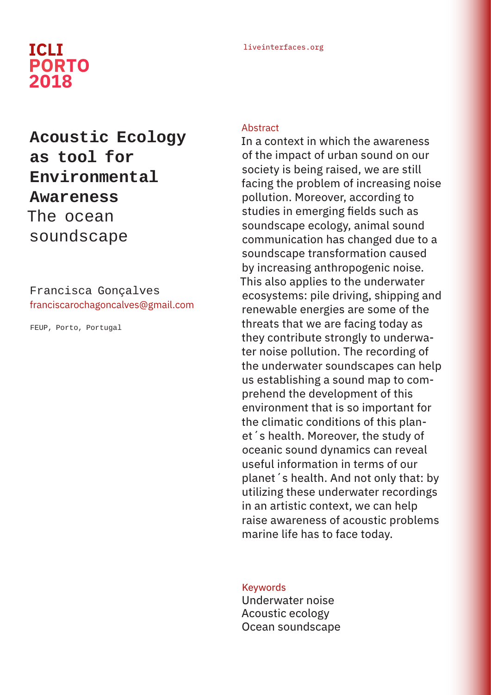## liveinterfaces.org **ICLI PORTO 2018**

# **Acoustic Ecology as tool for Environmental Awareness**  The ocean soundscape

Francisca Gonçalves franciscarochagoncalves@gmail.com

FEUP, Porto, Portugal

#### **Abstract**

In a context in which the awareness of the impact of urban sound on our society is being raised, we are still facing the problem of increasing noise pollution. Moreover, according to studies in emerging fields such as soundscape ecology, animal sound communication has changed due to a soundscape transformation caused by increasing anthropogenic noise. This also applies to the underwater ecosystems: pile driving, shipping and renewable energies are some of the threats that we are facing today as they contribute strongly to underwater noise pollution. The recording of the underwater soundscapes can help us establishing a sound map to comprehend the development of this environment that is so important for the climatic conditions of this planet´s health. Moreover, the study of oceanic sound dynamics can reveal useful information in terms of our planet´s health. And not only that: by utilizing these underwater recordings in an artistic context, we can help raise awareness of acoustic problems marine life has to face today.

#### **Keywords**

Underwater noise Acoustic ecology Ocean soundscape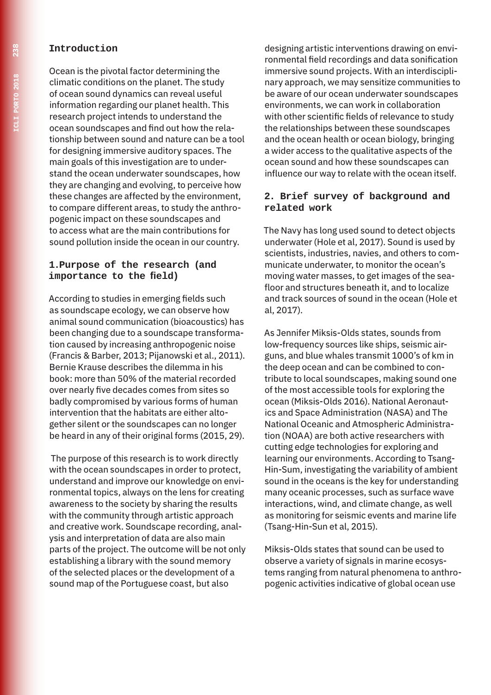#### **Introduction**

Ocean is the pivotal factor determining the climatic conditions on the planet. The study of ocean sound dynamics can reveal useful information regarding our planet health. This research project intends to understand the ocean soundscapes and find out how the relationship between sound and nature can be a tool for designing immersive auditory spaces. The main goals of this investigation are to understand the ocean underwater soundscapes, how they are changing and evolving, to perceive how these changes are affected by the environment, to compare different areas, to study the anthropogenic impact on these soundscapes and to access what are the main contributions for sound pollution inside the ocean in our country.

#### **1.Purpose of the research (and importance to the field)**

According to studies in emerging fields such as soundscape ecology, we can observe how animal sound communication (bioacoustics) has been changing due to a soundscape transformation caused by increasing anthropogenic noise (Francis & Barber, 2013; Pijanowski et al., 2011). Bernie Krause describes the dilemma in his book: more than 50% of the material recorded over nearly five decades comes from sites so badly compromised by various forms of human intervention that the habitats are either altogether silent or the soundscapes can no longer be heard in any of their original forms (2015, 29).

 The purpose of this research is to work directly with the ocean soundscapes in order to protect, understand and improve our knowledge on environmental topics, always on the lens for creating awareness to the society by sharing the results with the community through artistic approach and creative work. Soundscape recording, analysis and interpretation of data are also main parts of the project. The outcome will be not only establishing a library with the sound memory of the selected places or the development of a sound map of the Portuguese coast, but also

designing artistic interventions drawing on environmental field recordings and data sonification immersive sound projects. With an interdisciplinary approach, we may sensitize communities to be aware of our ocean underwater soundscapes environments, we can work in collaboration with other scientific fields of relevance to study the relationships between these soundscapes and the ocean health or ocean biology, bringing a wider access to the qualitative aspects of the ocean sound and how these soundscapes can influence our way to relate with the ocean itself.

#### **2. Brief survey of background and related work**

The Navy has long used sound to detect objects underwater (Hole et al, 2017). Sound is used by scientists, industries, navies, and others to communicate underwater, to monitor the ocean's moving water masses, to get images of the seafloor and structures beneath it, and to localize and track sources of sound in the ocean (Hole et al, 2017).

As Jennifer Miksis-Olds states, sounds from low-frequency sources like ships, seismic airguns, and blue whales transmit 1000's of km in the deep ocean and can be combined to contribute to local soundscapes, making sound one of the most accessible tools for exploring the ocean (Miksis-Olds 2016). National Aeronautics and Space Administration (NASA) and The National Oceanic and Atmospheric Administration (NOAA) are both active researchers with cutting edge technologies for exploring and learning our environments. According to Tsang-Hin-Sum, investigating the variability of ambient sound in the oceans is the key for understanding many oceanic processes, such as surface wave interactions, wind, and climate change, as well as monitoring for seismic events and marine life (Tsang-Hin-Sun et al, 2015).

Miksis-Olds states that sound can be used to observe a variety of signals in marine ecosystems ranging from natural phenomena to anthropogenic activities indicative of global ocean use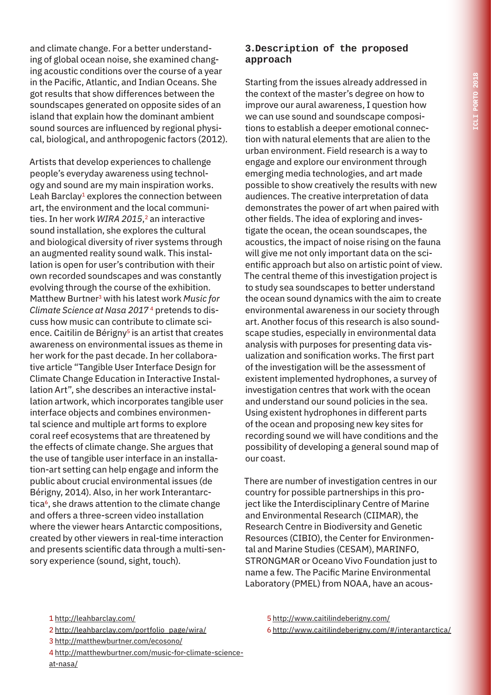and climate change. For a better understanding of global ocean noise, she examined changing acoustic conditions over the course of a year in the Pacific, Atlantic, and Indian Oceans. She got results that show differences between the soundscapes generated on opposite sides of an island that explain how the dominant ambient sound sources are influenced by regional physical, biological, and anthropogenic factors (2012).

Artists that develop experiences to challenge people's everyday awareness using technology and sound are my main inspiration works. Leah Barclay<sup>1</sup> explores the connection between art, the environment and the local communities. In her work *WIRA 2015*, 2 an interactive sound installation, she explores the cultural and biological diversity of river systems through an augmented reality sound walk. This installation is open for user's contribution with their own recorded soundscapes and was constantly evolving through the course of the exhibition. Matthew Burtner3 with his latest work *Music for Climate Science at Nasa 2017* 4 pretends to discuss how music can contribute to climate science. Caitilin de Bérigny<sup>5</sup> is an artist that creates awareness on environmental issues as theme in her work for the past decade. In her collaborative article "Tangible User Interface Design for Climate Change Education in Interactive Installation Art", she describes an interactive installation artwork, which incorporates tangible user interface objects and combines environmental science and multiple art forms to explore coral reef ecosystems that are threatened by the effects of climate change. She argues that the use of tangible user interface in an installation-art setting can help engage and inform the public about crucial environmental issues (de Bérigny, 2014). Also, in her work Interantarctica<sup>6</sup>, she draws attention to the climate change and offers a three-screen video installation where the viewer hears Antarctic compositions, created by other viewers in real-time interaction and presents scientific data through a multi-sensory experience (sound, sight, touch).

### **3.Description of the proposed approach**

Starting from the issues already addressed in the context of the master's degree on how to improve our aural awareness, I question how we can use sound and soundscape compositions to establish a deeper emotional connection with natural elements that are alien to the urban environment. Field research is a way to engage and explore our environment through emerging media technologies, and art made possible to show creatively the results with new audiences. The creative interpretation of data demonstrates the power of art when paired with other fields. The idea of exploring and investigate the ocean, the ocean soundscapes, the acoustics, the impact of noise rising on the fauna will give me not only important data on the scientific approach but also on artistic point of view. The central theme of this investigation project is to study sea soundscapes to better understand the ocean sound dynamics with the aim to create environmental awareness in our society through art. Another focus of this research is also soundscape studies, especially in environmental data analysis with purposes for presenting data visualization and sonification works. The first part of the investigation will be the assessment of existent implemented hydrophones, a survey of investigation centres that work with the ocean and understand our sound policies in the sea. Using existent hydrophones in different parts of the ocean and proposing new key sites for recording sound we will have conditions and the possibility of developing a general sound map of our coast.

There are number of investigation centres in our country for possible partnerships in this project like the Interdisciplinary Centre of Marine and Environmental Research (CIIMAR), the Research Centre in Biodiversity and Genetic Resources (CIBIO), the Center for Environmental and Marine Studies (CESAM), MARINFO, STRONGMAR or Oceano Vivo Foundation just to name a few. The Pacific Marine Environmental Laboratory (PMEL) from NOAA, have an acous-

- 2 http://leahbarclay.com/portfolio\_page/wira/
- 3 http://matthewburtner.com/ecosono/
- 4 http://matthewburtner.com/music-for-climate-science-
- at-nasa/
- 5 http://www.caitilindeberigny.com/
- 6 http://www.caitilindeberigny.com/#/interantarctica/

<sup>1</sup> http://leahbarclay.com/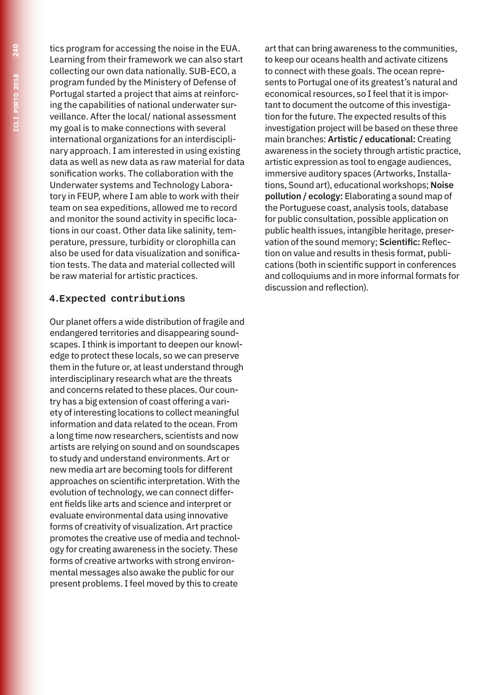tics program for accessing the noise in the EUA. Learning from their framework we can also start collecting our own data nationally. SUB-ECO, a program funded by the Ministery of Defense of Portugal started a project that aims at reinforcing the capabilities of national underwater surveillance. After the local/ national assessment my goal is to make connections with several international organizations for an interdisciplinary approach. I am interested in using existing data as well as new data as raw material for data sonification works. The collaboration with the Underwater systems and Technology Laboratory in FEUP, where I am able to work with their team on sea expeditions, allowed me to record and monitor the sound activity in specific locations in our coast. Other data like salinity, temperature, pressure, turbidity or clorophilla can also be used for data visualization and sonification tests. The data and material collected will be raw material for artistic practices.

#### **4.Expected contributions**

Our planet offers a wide distribution of fragile and endangered territories and disappearing soundscapes. I think is important to deepen our knowledge to protect these locals, so we can preserve them in the future or, at least understand through interdisciplinary research what are the threats and concerns related to these places. Our country has a big extension of coast offering a variety of interesting locations to collect meaningful information and data related to the ocean. From a long time now researchers, scientists and now artists are relying on sound and on soundscapes to study and understand environments. Art or new media art are becoming tools for different approaches on scientific interpretation. With the evolution of technology, we can connect different fields like arts and science and interpret or evaluate environmental data using innovative forms of creativity of visualization. Art practice promotes the creative use of media and technology for creating awareness in the society. These forms of creative artworks with strong environmental messages also awake the public for our present problems. I feel moved by this to create

art that can bring awareness to the communities, to keep our oceans health and activate citizens to connect with these goals. The ocean represents to Portugal one of its greatest's natural and economical resources, so I feel that it is important to document the outcome of this investigation for the future. The expected results of this investigation project will be based on these three main branches: **Artistic / educational:** Creating awareness in the society through artistic practice, artistic expression as tool to engage audiences, immersive auditory spaces (Artworks, Installations, Sound art), educational workshops; **Noise pollution / ecology:** Elaborating a sound map of the Portuguese coast, analysis tools, database for public consultation, possible application on public health issues, intangible heritage, preservation of the sound memory; **Scientific:** Reflection on value and results in thesis format, publications (both in scientific support in conferences and colloquiums and in more informal formats for discussion and reflection).